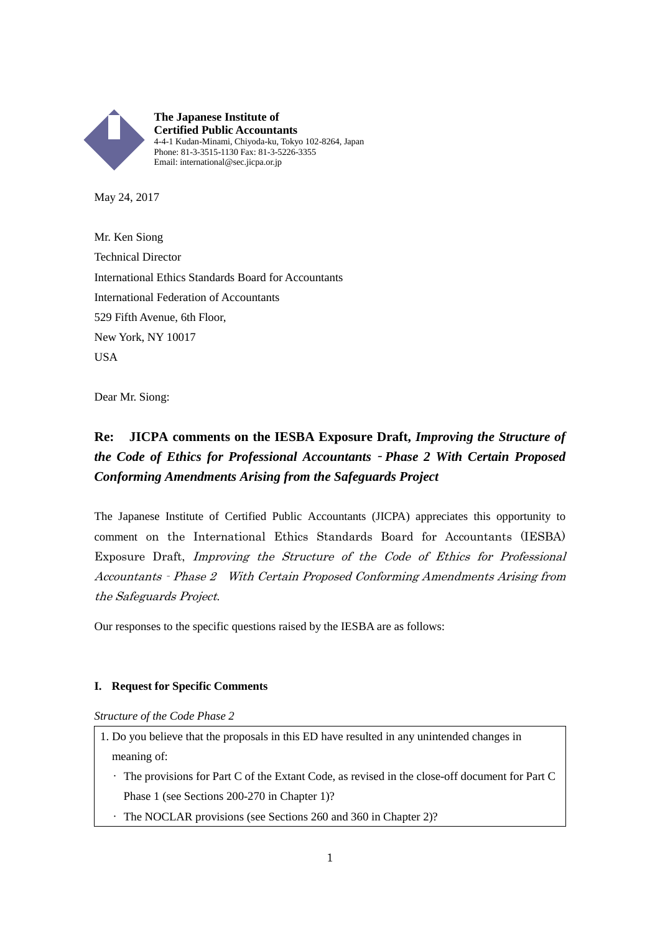

May 24, 2017

Mr. Ken Siong Technical Director International Ethics Standards Board for Accountants International Federation of Accountants 529 Fifth Avenue, 6th Floor, New York, NY 10017 **USA** 

Dear Mr. Siong:

# **Re: JICPA comments on the IESBA Exposure Draft,** *Improving the Structure of the Code of Ethics for Professional Accountants*‐*Phase 2 With Certain Proposed Conforming Amendments Arising from the Safeguards Project*

The Japanese Institute of Certified Public Accountants (JICPA) appreciates this opportunity to comment on the International Ethics Standards Board for Accountants (IESBA) Exposure Draft, Improving the Structure of the Code of Ethics for Professional Accountants‐Phase 2 With Certain Proposed Conforming Amendments Arising from the Safeguards Project.

Our responses to the specific questions raised by the IESBA are as follows:

# **I. Request for Specific Comments**

*Structure of the Code Phase 2*

- 1. Do you believe that the proposals in this ED have resulted in any unintended changes in meaning of:
	- The provisions for Part C of the Extant Code, as revised in the close-off document for Part C Phase 1 (see Sections 200-270 in Chapter 1)?
	- The NOCLAR provisions (see Sections 260 and 360 in Chapter 2)?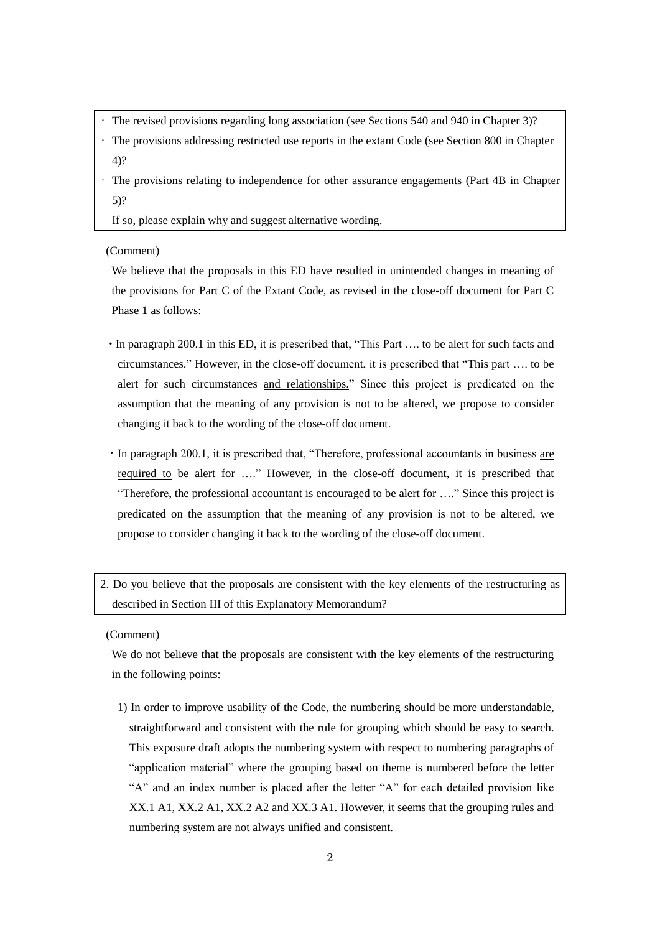- The revised provisions regarding long association (see Sections 540 and 940 in Chapter 3)?
- The provisions addressing restricted use reports in the extant Code (see Section 800 in Chapter 4)?
- The provisions relating to independence for other assurance engagements (Part 4B in Chapter 5)?

If so, please explain why and suggest alternative wording.

(Comment)

We believe that the proposals in this ED have resulted in unintended changes in meaning of the provisions for Part C of the Extant Code, as revised in the close-off document for Part C Phase 1 as follows:

- ・In paragraph 200.1 in this ED, it is prescribed that, "This Part …. to be alert for such facts and circumstances." However, in the close-off document, it is prescribed that "This part …. to be alert for such circumstances and relationships." Since this project is predicated on the assumption that the meaning of any provision is not to be altered, we propose to consider changing it back to the wording of the close-off document.
- ・In paragraph 200.1, it is prescribed that, "Therefore, professional accountants in business are required to be alert for …." However, in the close-off document, it is prescribed that "Therefore, the professional accountant is encouraged to be alert for …." Since this project is predicated on the assumption that the meaning of any provision is not to be altered, we propose to consider changing it back to the wording of the close-off document.

2. Do you believe that the proposals are consistent with the key elements of the restructuring as described in Section III of this Explanatory Memorandum?

(Comment)

We do not believe that the proposals are consistent with the key elements of the restructuring in the following points:

1) In order to improve usability of the Code, the numbering should be more understandable, straightforward and consistent with the rule for grouping which should be easy to search. This exposure draft adopts the numbering system with respect to numbering paragraphs of "application material" where the grouping based on theme is numbered before the letter "A" and an index number is placed after the letter "A" for each detailed provision like XX.1 A1, XX.2 A1, XX.2 A2 and XX.3 A1. However, it seems that the grouping rules and numbering system are not always unified and consistent.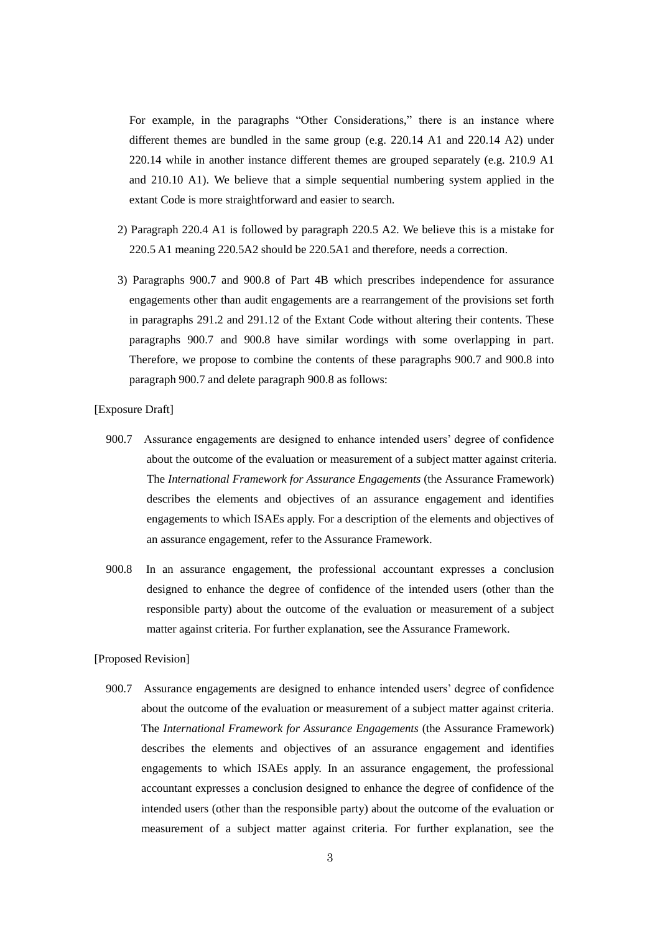For example, in the paragraphs "Other Considerations," there is an instance where different themes are bundled in the same group (e.g.  $220.14$  A1 and  $220.14$  A2) under 220.14 while in another instance different themes are grouped separately (e.g. 210.9 A1 and 210.10 A1). We believe that a simple sequential numbering system applied in the extant Code is more straightforward and easier to search.

- 2) Paragraph 220.4 A1 is followed by paragraph 220.5 A2. We believe this is a mistake for 220.5 A1 meaning 220.5A2 should be 220.5A1 and therefore, needs a correction.
- 3) Paragraphs 900.7 and 900.8 of Part 4B which prescribes independence for assurance engagements other than audit engagements are a rearrangement of the provisions set forth in paragraphs 291.2 and 291.12 of the Extant Code without altering their contents. These paragraphs 900.7 and 900.8 have similar wordings with some overlapping in part. Therefore, we propose to combine the contents of these paragraphs 900.7 and 900.8 into paragraph 900.7 and delete paragraph 900.8 as follows:

## [Exposure Draft]

- 900.7 Assurance engagements are designed to enhance intended users' degree of confidence about the outcome of the evaluation or measurement of a subject matter against criteria. The *International Framework for Assurance Engagements* (the Assurance Framework) describes the elements and objectives of an assurance engagement and identifies engagements to which ISAEs apply. For a description of the elements and objectives of an assurance engagement, refer to the Assurance Framework.
- 900.8 In an assurance engagement, the professional accountant expresses a conclusion designed to enhance the degree of confidence of the intended users (other than the responsible party) about the outcome of the evaluation or measurement of a subject matter against criteria. For further explanation, see the Assurance Framework.

## [Proposed Revision]

900.7 Assurance engagements are designed to enhance intended users' degree of confidence about the outcome of the evaluation or measurement of a subject matter against criteria. The *International Framework for Assurance Engagements* (the Assurance Framework) describes the elements and objectives of an assurance engagement and identifies engagements to which ISAEs apply. In an assurance engagement, the professional accountant expresses a conclusion designed to enhance the degree of confidence of the intended users (other than the responsible party) about the outcome of the evaluation or measurement of a subject matter against criteria. For further explanation, see the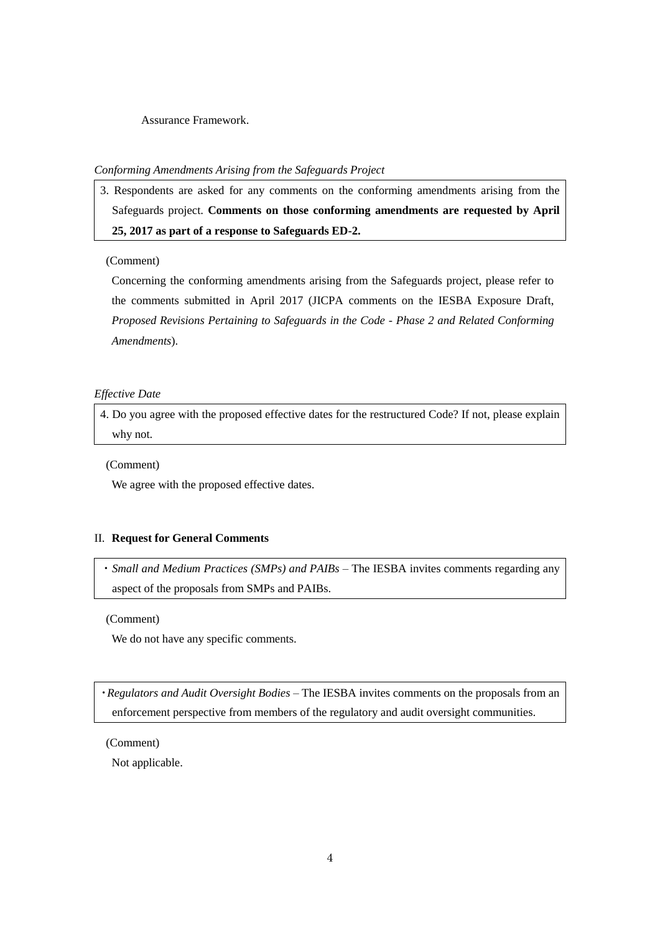Assurance Framework.

## *Conforming Amendments Arising from the Safeguards Project*

3. Respondents are asked for any comments on the conforming amendments arising from the Safeguards project. **Comments on those conforming amendments are requested by April 25, 2017 as part of a response to Safeguards ED-2.**

## (Comment)

Concerning the conforming amendments arising from the Safeguards project, please refer to the comments submitted in April 2017 (JICPA comments on the IESBA Exposure Draft, *Proposed Revisions Pertaining to Safeguards in the Code - Phase 2 and Related Conforming Amendments*).

#### *Effective Date*

4. Do you agree with the proposed effective dates for the restructured Code? If not, please explain why not.

(Comment)

We agree with the proposed effective dates.

# II. **Request for General Comments**

・*Small and Medium Practices (SMPs) and PAIBs* – The IESBA invites comments regarding any aspect of the proposals from SMPs and PAIBs.

(Comment)

We do not have any specific comments.

・*Regulators and Audit Oversight Bodies* – The IESBA invites comments on the proposals from an enforcement perspective from members of the regulatory and audit oversight communities.

(Comment)

Not applicable.